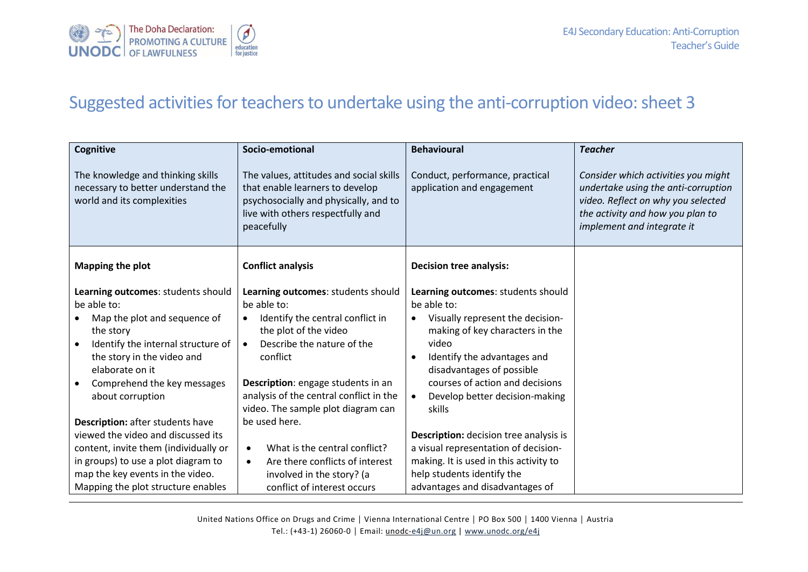

## Suggested activities for teachers to undertake using the anti-corruption video: sheet 3

| Cognitive                                                                                                                                                                                                                                | Socio-emotional                                                                                                                                                                                                                                                     | <b>Behavioural</b>                                                                                                                                                                                                                                                                           | <b>Teacher</b>                                                                                                                                                                     |
|------------------------------------------------------------------------------------------------------------------------------------------------------------------------------------------------------------------------------------------|---------------------------------------------------------------------------------------------------------------------------------------------------------------------------------------------------------------------------------------------------------------------|----------------------------------------------------------------------------------------------------------------------------------------------------------------------------------------------------------------------------------------------------------------------------------------------|------------------------------------------------------------------------------------------------------------------------------------------------------------------------------------|
| The knowledge and thinking skills<br>necessary to better understand the<br>world and its complexities                                                                                                                                    | The values, attitudes and social skills<br>that enable learners to develop<br>psychosocially and physically, and to<br>live with others respectfully and<br>peacefully                                                                                              | Conduct, performance, practical<br>application and engagement                                                                                                                                                                                                                                | Consider which activities you might<br>undertake using the anti-corruption<br>video. Reflect on why you selected<br>the activity and how you plan to<br>implement and integrate it |
| <b>Mapping the plot</b>                                                                                                                                                                                                                  | <b>Conflict analysis</b>                                                                                                                                                                                                                                            | <b>Decision tree analysis:</b>                                                                                                                                                                                                                                                               |                                                                                                                                                                                    |
| Learning outcomes: students should<br>be able to:<br>Map the plot and sequence of<br>the story<br>Identify the internal structure of<br>the story in the video and<br>elaborate on it<br>Comprehend the key messages<br>about corruption | Learning outcomes: students should<br>be able to:<br>Identify the central conflict in<br>$\bullet$<br>the plot of the video<br>Describe the nature of the<br>$\bullet$<br>conflict<br>Description: engage students in an<br>analysis of the central conflict in the | Learning outcomes: students should<br>be able to:<br>Visually represent the decision-<br>$\bullet$<br>making of key characters in the<br>video<br>Identify the advantages and<br>disadvantages of possible<br>courses of action and decisions<br>Develop better decision-making<br>$\bullet$ |                                                                                                                                                                                    |
| Description: after students have<br>viewed the video and discussed its                                                                                                                                                                   | video. The sample plot diagram can<br>be used here.                                                                                                                                                                                                                 | skills                                                                                                                                                                                                                                                                                       |                                                                                                                                                                                    |
| content, invite them (individually or<br>in groups) to use a plot diagram to<br>map the key events in the video.<br>Mapping the plot structure enables                                                                                   | What is the central conflict?<br>$\bullet$<br>Are there conflicts of interest<br>$\bullet$<br>involved in the story? (a<br>conflict of interest occurs                                                                                                              | <b>Description:</b> decision tree analysis is<br>a visual representation of decision-<br>making. It is used in this activity to<br>help students identify the<br>advantages and disadvantages of                                                                                             |                                                                                                                                                                                    |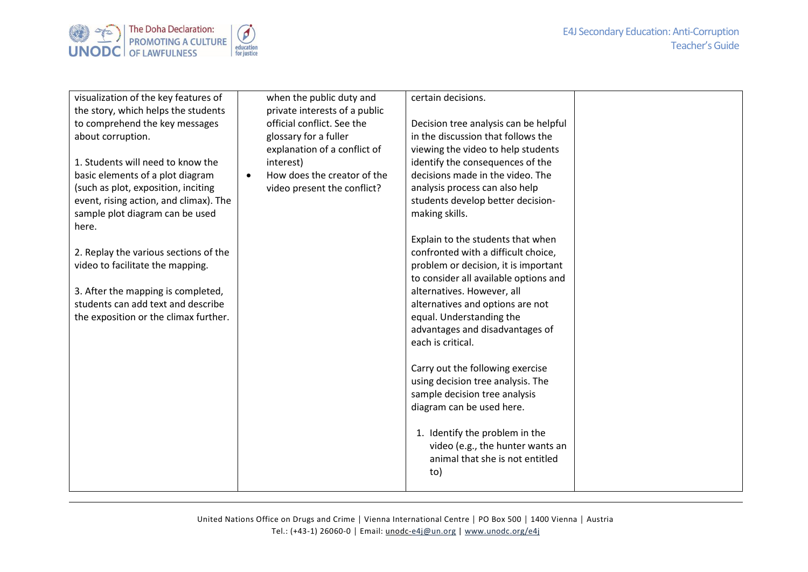



| visualization of the key features of   | when the public duty and                 | certain decisions.                                                 |  |
|----------------------------------------|------------------------------------------|--------------------------------------------------------------------|--|
| the story, which helps the students    | private interests of a public            |                                                                    |  |
| to comprehend the key messages         | official conflict. See the               | Decision tree analysis can be helpful                              |  |
| about corruption.                      | glossary for a fuller                    | in the discussion that follows the                                 |  |
|                                        | explanation of a conflict of             | viewing the video to help students                                 |  |
| 1. Students will need to know the      | interest)                                | identify the consequences of the                                   |  |
| basic elements of a plot diagram       | How does the creator of the<br>$\bullet$ | decisions made in the video. The                                   |  |
| (such as plot, exposition, inciting    | video present the conflict?              | analysis process can also help                                     |  |
| event, rising action, and climax). The |                                          | students develop better decision-                                  |  |
| sample plot diagram can be used        |                                          | making skills.                                                     |  |
| here.                                  |                                          |                                                                    |  |
|                                        |                                          | Explain to the students that when                                  |  |
| 2. Replay the various sections of the  |                                          | confronted with a difficult choice,                                |  |
| video to facilitate the mapping.       |                                          | problem or decision, it is important                               |  |
|                                        |                                          | to consider all available options and                              |  |
| 3. After the mapping is completed,     |                                          | alternatives. However, all                                         |  |
| students can add text and describe     |                                          | alternatives and options are not                                   |  |
| the exposition or the climax further.  |                                          | equal. Understanding the                                           |  |
|                                        |                                          | advantages and disadvantages of                                    |  |
|                                        |                                          | each is critical.                                                  |  |
|                                        |                                          |                                                                    |  |
|                                        |                                          | Carry out the following exercise                                   |  |
|                                        |                                          | using decision tree analysis. The                                  |  |
|                                        |                                          | sample decision tree analysis                                      |  |
|                                        |                                          | diagram can be used here.                                          |  |
|                                        |                                          |                                                                    |  |
|                                        |                                          | 1. Identify the problem in the<br>video (e.g., the hunter wants an |  |
|                                        |                                          | animal that she is not entitled                                    |  |
|                                        |                                          | to)                                                                |  |
|                                        |                                          |                                                                    |  |
|                                        |                                          |                                                                    |  |